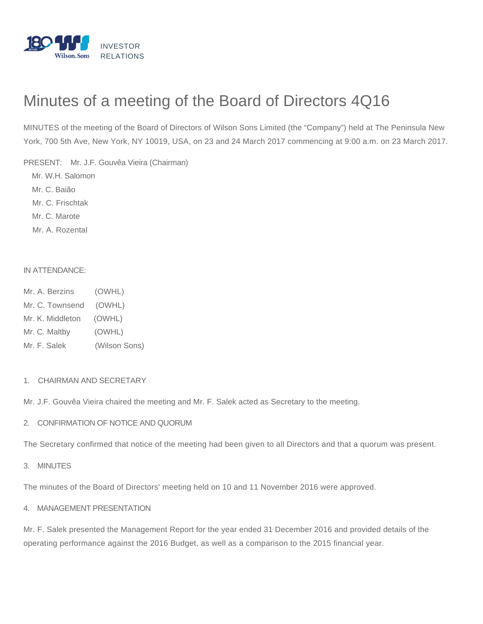

# Minutes of a meeting of the Board of Directors 4Q16

MINUTES of the meeting of the Board of Directors of Wilson Sons Limited (the "Company") held at The Peninsula New York, 700 5th Ave, New York, NY 10019, USA, on 23 and 24 March 2017 commencing at 9:00 a.m. on 23 March 2017.

PRESENT: Mr. J.F. Gouvêa Vieira (Chairman)

Mr. W.H. Salomon

Mr. C. Baião

Mr. C. Frischtak

Mr. C. Marote

Mr. A. Rozental

#### IN ATTENDANCE:

- Mr. A. Berzins (OWHL)
- Mr. C. Townsend (OWHL)
- Mr. K. Middleton (OWHL)
- Mr. C. Maltby (OWHL)
- Mr. F. Salek (Wilson Sons)

#### 1. CHAIRMAN AND SECRETARY

Mr. J.F. Gouvêa Vieira chaired the meeting and Mr. F. Salek acted as Secretary to the meeting.

2. CONFIRMATION OF NOTICE AND QUORUM

The Secretary confirmed that notice of the meeting had been given to all Directors and that a quorum was present.

3. MINUTES

The minutes of the Board of Directors' meeting held on 10 and 11 November 2016 were approved.

#### 4. MANAGEMENT PRESENTATION

Mr. F. Salek presented the Management Report for the year ended 31 December 2016 and provided details of the operating performance against the 2016 Budget, as well as a comparison to the 2015 financial year.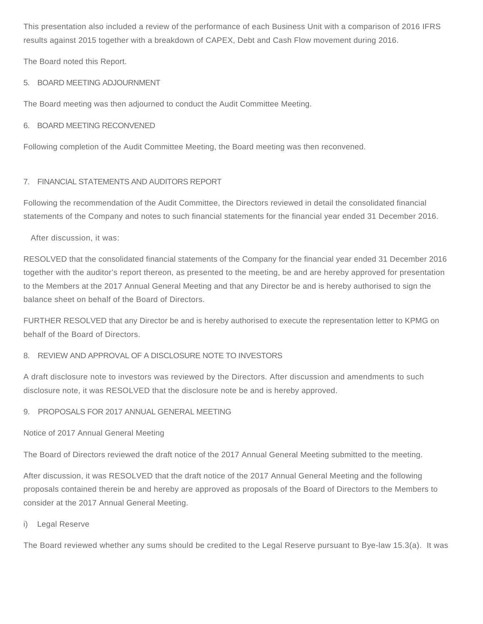This presentation also included a review of the performance of each Business Unit with a comparison of 2016 IFRS results against 2015 together with a breakdown of CAPEX, Debt and Cash Flow movement during 2016.

The Board noted this Report.

# 5. BOARD MEETING ADJOURNMENT

The Board meeting was then adjourned to conduct the Audit Committee Meeting.

## 6. BOARD MEETING RECONVENED

Following completion of the Audit Committee Meeting, the Board meeting was then reconvened.

# 7. FINANCIAL STATEMENTS AND AUDITORS REPORT

Following the recommendation of the Audit Committee, the Directors reviewed in detail the consolidated financial statements of the Company and notes to such financial statements for the financial year ended 31 December 2016.

After discussion, it was:

RESOLVED that the consolidated financial statements of the Company for the financial year ended 31 December 2016 together with the auditor's report thereon, as presented to the meeting, be and are hereby approved for presentation to the Members at the 2017 Annual General Meeting and that any Director be and is hereby authorised to sign the balance sheet on behalf of the Board of Directors.

FURTHER RESOLVED that any Director be and is hereby authorised to execute the representation letter to KPMG on behalf of the Board of Directors.

# 8. REVIEW AND APPROVAL OF A DISCLOSURE NOTE TO INVESTORS

A draft disclosure note to investors was reviewed by the Directors. After discussion and amendments to such disclosure note, it was RESOLVED that the disclosure note be and is hereby approved.

# 9. PROPOSALS FOR 2017 ANNUAL GENERAL MEETING

Notice of 2017 Annual General Meeting

The Board of Directors reviewed the draft notice of the 2017 Annual General Meeting submitted to the meeting.

After discussion, it was RESOLVED that the draft notice of the 2017 Annual General Meeting and the following proposals contained therein be and hereby are approved as proposals of the Board of Directors to the Members to consider at the 2017 Annual General Meeting.

## i) Legal Reserve

The Board reviewed whether any sums should be credited to the Legal Reserve pursuant to Bye-law 15.3(a). It was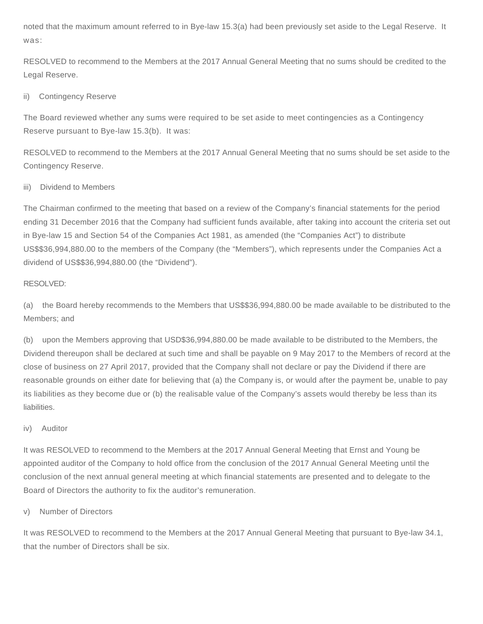noted that the maximum amount referred to in Bye-law 15.3(a) had been previously set aside to the Legal Reserve. It was:

RESOLVED to recommend to the Members at the 2017 Annual General Meeting that no sums should be credited to the Legal Reserve.

## ii) Contingency Reserve

The Board reviewed whether any sums were required to be set aside to meet contingencies as a Contingency Reserve pursuant to Bye-law 15.3(b). It was:

RESOLVED to recommend to the Members at the 2017 Annual General Meeting that no sums should be set aside to the Contingency Reserve.

## iii) Dividend to Members

The Chairman confirmed to the meeting that based on a review of the Company's financial statements for the period ending 31 December 2016 that the Company had sufficient funds available, after taking into account the criteria set out in Bye-law 15 and Section 54 of the Companies Act 1981, as amended (the "Companies Act") to distribute US\$\$36,994,880.00 to the members of the Company (the "Members"), which represents under the Companies Act a dividend of US\$\$36,994,880.00 (the "Dividend").

## RESOLVED:

(a) the Board hereby recommends to the Members that US\$\$36,994,880.00 be made available to be distributed to the Members; and

(b) upon the Members approving that USD\$36,994,880.00 be made available to be distributed to the Members, the Dividend thereupon shall be declared at such time and shall be payable on 9 May 2017 to the Members of record at the close of business on 27 April 2017, provided that the Company shall not declare or pay the Dividend if there are reasonable grounds on either date for believing that (a) the Company is, or would after the payment be, unable to pay its liabilities as they become due or (b) the realisable value of the Company's assets would thereby be less than its liabilities.

## iv) Auditor

It was RESOLVED to recommend to the Members at the 2017 Annual General Meeting that Ernst and Young be appointed auditor of the Company to hold office from the conclusion of the 2017 Annual General Meeting until the conclusion of the next annual general meeting at which financial statements are presented and to delegate to the Board of Directors the authority to fix the auditor's remuneration.

## v) Number of Directors

It was RESOLVED to recommend to the Members at the 2017 Annual General Meeting that pursuant to Bye-law 34.1, that the number of Directors shall be six.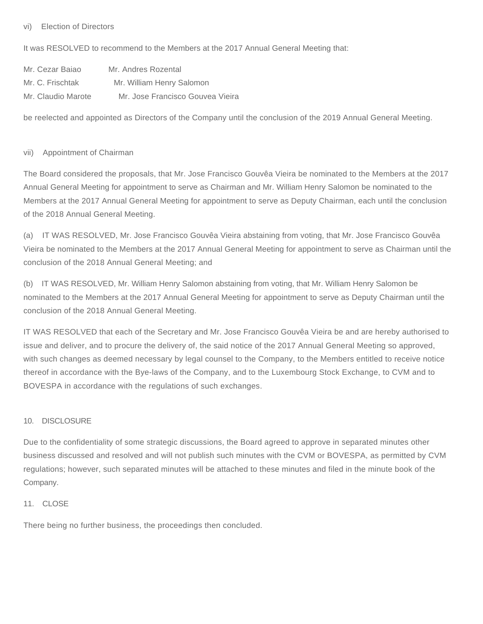#### vi) Election of Directors

It was RESOLVED to recommend to the Members at the 2017 Annual General Meeting that:

| Mr. Cezar Baiao    | Mr. Andres Rozental              |
|--------------------|----------------------------------|
| Mr. C. Frischtak   | Mr. William Henry Salomon        |
| Mr. Claudio Marote | Mr. Jose Francisco Gouvea Vieira |

be reelected and appointed as Directors of the Company until the conclusion of the 2019 Annual General Meeting.

#### vii) Appointment of Chairman

The Board considered the proposals, that Mr. Jose Francisco Gouvêa Vieira be nominated to the Members at the 2017 Annual General Meeting for appointment to serve as Chairman and Mr. William Henry Salomon be nominated to the Members at the 2017 Annual General Meeting for appointment to serve as Deputy Chairman, each until the conclusion of the 2018 Annual General Meeting.

(a) IT WAS RESOLVED, Mr. Jose Francisco Gouvêa Vieira abstaining from voting, that Mr. Jose Francisco Gouvêa Vieira be nominated to the Members at the 2017 Annual General Meeting for appointment to serve as Chairman until the conclusion of the 2018 Annual General Meeting; and

(b) IT WAS RESOLVED, Mr. William Henry Salomon abstaining from voting, that Mr. William Henry Salomon be nominated to the Members at the 2017 Annual General Meeting for appointment to serve as Deputy Chairman until the conclusion of the 2018 Annual General Meeting.

IT WAS RESOLVED that each of the Secretary and Mr. Jose Francisco Gouvêa Vieira be and are hereby authorised to issue and deliver, and to procure the delivery of, the said notice of the 2017 Annual General Meeting so approved, with such changes as deemed necessary by legal counsel to the Company, to the Members entitled to receive notice thereof in accordance with the Bye-laws of the Company, and to the Luxembourg Stock Exchange, to CVM and to BOVESPA in accordance with the regulations of such exchanges.

## 10. DISCLOSURE

Due to the confidentiality of some strategic discussions, the Board agreed to approve in separated minutes other business discussed and resolved and will not publish such minutes with the CVM or BOVESPA, as permitted by CVM regulations; however, such separated minutes will be attached to these minutes and filed in the minute book of the Company.

#### 11. CLOSE

There being no further business, the proceedings then concluded.